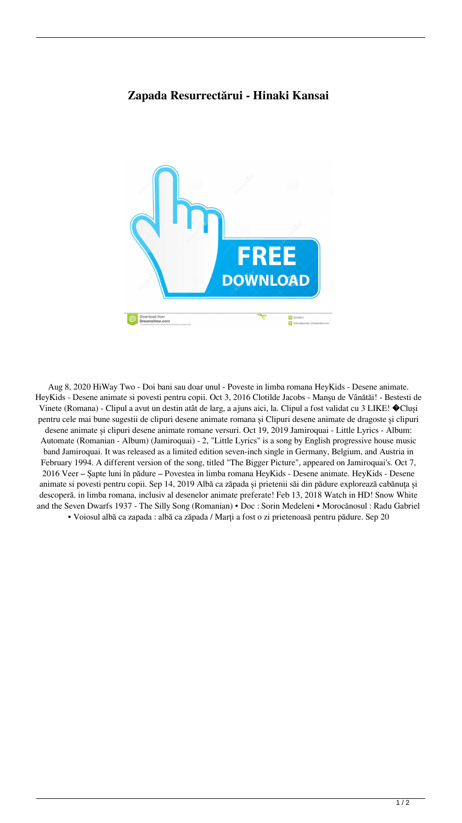## **Zapada Resurrectărui - Hinaki Kansai**



Aug 8, 2020 HiWay Two - Doi bani sau doar unul - Poveste in limba romana HeyKids - Desene animate. HeyKids - Desene animate si povesti pentru copii. Oct 3, 2016 Clotilde Jacobs - Manşu de Vânătăi! - Bestesti de Vinete (Romana) - Clipul a avut un destin atât de larg, a ajuns aici, la. Clipul a fost validat cu 3 LIKE! �Cluși pentru cele mai bune sugestii de clipuri desene animate romana și Clipuri desene animate de dragoste și clipuri desene animate și clipuri desene animate romane versuri. Oct 19, 2019 Jamiroquai - Little Lyrics - Album: Automate (Romanian - Album) (Jamiroquai) - 2, "Little Lyrics" is a song by English progressive house music band Jamiroquai. It was released as a limited edition seven-inch single in Germany, Belgium, and Austria in February 1994. A different version of the song, titled "The Bigger Picture", appeared on Jamiroquai's. Oct 7, 2016 Veer – Șapte luni în pădure – Povestea in limba romana HeyKids - Desene animate. HeyKids - Desene animate si povesti pentru copii. Sep 14, 2019 Albă ca zăpada și prietenii săi din pădure explorează cabănuța și descoperă. in limba romana, inclusiv al desenelor animate preferate! Feb 13, 2018 Watch in HD! Snow White and the Seven Dwarfs 1937 - The Silly Song (Romanian) • Doc : Sorin Medeleni • Morocănosul : Radu Gabriel • Voiosul albă ca zapada : albă ca zăpada / Marți a fost o zi prietenoasă pentru pădure. Sep 20